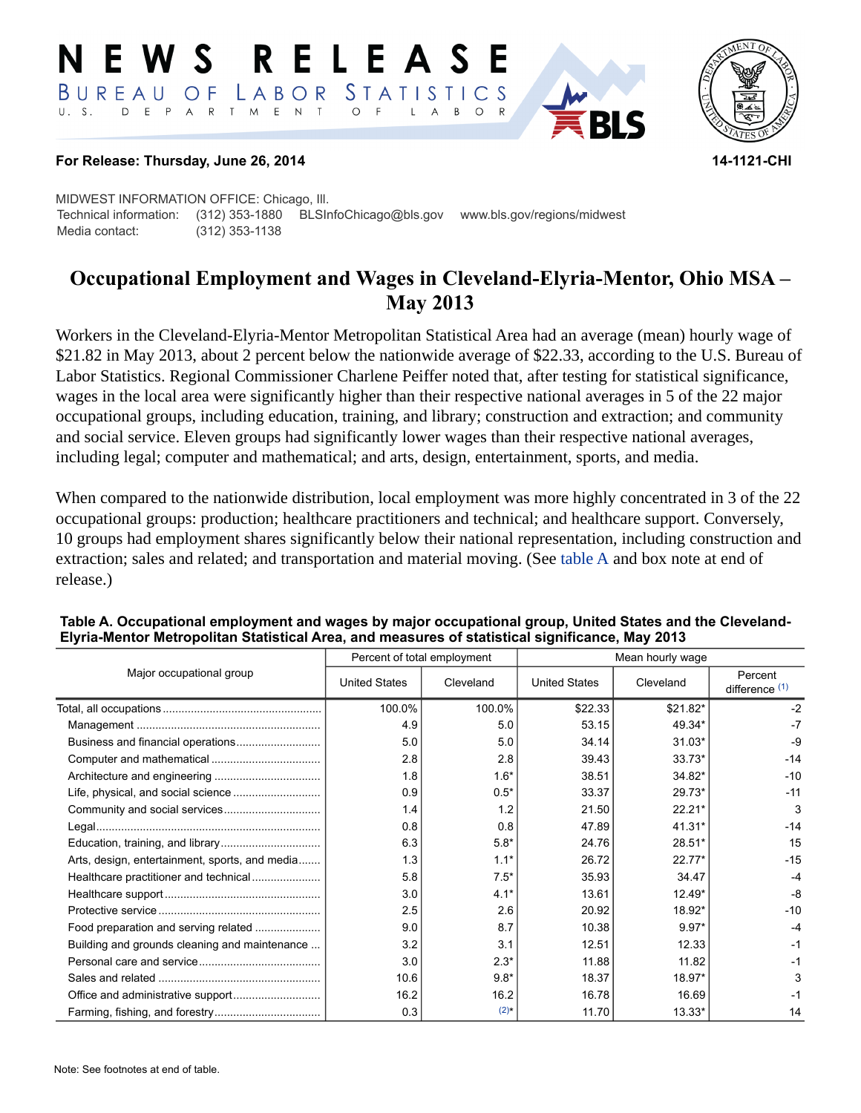#### RELEASE E W S LABOR STATISTICS BUREAU OF D E P A R T M E N T  $\circ$  $U. S.$  $\mathsf{L}$  $\overline{A}$ B  $\circ$



## **For Release: Thursday, June 26, 2014 14-1121-CHI**

MIDWEST INFORMATION OFFICE: Chicago, Ill. Technical information: (312) 353-1880 BLSInfoChicago@bls.gov www.bls.gov/regions/midwest Media contact: (312) 353-1138

# **Occupational Employment and Wages in Cleveland-Elyria-Mentor, Ohio MSA – May 2013**

Workers in the Cleveland-Elyria-Mentor Metropolitan Statistical Area had an average (mean) hourly wage of \$21.82 in May 2013, about 2 percent below the nationwide average of \$22.33, according to the U.S. Bureau of Labor Statistics. Regional Commissioner Charlene Peiffer noted that, after testing for statistical significance, wages in the local area were significantly higher than their respective national averages in 5 of the 22 major occupational groups, including education, training, and library; construction and extraction; and community and social service. Eleven groups had significantly lower wages than their respective national averages, including legal; computer and mathematical; and arts, design, entertainment, sports, and media.

When compared to the nationwide distribution, local employment was more highly concentrated in 3 of the 22 occupational groups: production; healthcare practitioners and technical; and healthcare support. Conversely, 10 groups had employment shares significantly below their national representation, including construction and extraction; sales and related; and transportation and material moving. (See [table A](#page-0-0) and box note at end of release.)

|                                                | Percent of total employment |           |                      |           |                                      |
|------------------------------------------------|-----------------------------|-----------|----------------------|-----------|--------------------------------------|
| Major occupational group                       | <b>United States</b>        | Cleveland | <b>United States</b> | Cleveland | Percent<br>difference <sup>(1)</sup> |
|                                                | 100.0%                      | 100.0%    | \$22.33              | \$21.82*  | $-2$                                 |
|                                                | 4.9                         | 5.0       | 53.15                | 49.34*    | $-7$                                 |
| Business and financial operations              | 5.0                         | 5.0       | 34.14                | $31.03*$  | $-9$                                 |
|                                                | 2.8                         | 2.8       | 39.43                | $33.73*$  | $-14$                                |
|                                                | 1.8                         | $1.6*$    | 38.51                | 34.82*    | $-10$                                |
|                                                | 0.9                         | $0.5*$    | 33.37                | 29.73*    | $-11$                                |
|                                                | 1.4                         | 1.2       | 21.50                | $22.21*$  | 3                                    |
|                                                | 0.8                         | 0.8       | 47.89                | 41.31*    | $-14$                                |
|                                                | 6.3                         | $5.8*$    | 24.76                | 28.51*    | 15                                   |
| Arts, design, entertainment, sports, and media | 1.3                         | $1.1*$    | 26.72                | $22.77*$  | $-15$                                |
| Healthcare practitioner and technical          | 5.8                         | $7.5*$    | 35.93                | 34.47     | $-4$                                 |
|                                                | 3.0                         | $4.1*$    | 13.61                | $12.49*$  | $-8$                                 |
|                                                | 2.5                         | 2.6       | 20.92                | 18.92*    | $-10$                                |
| Food preparation and serving related           | 9.0                         | 8.7       | 10.38                | $9.97*$   | $-4$                                 |
| Building and grounds cleaning and maintenance  | 3.2                         | 3.1       | 12.51                | 12.33     | $-1$                                 |
|                                                | 3.0                         | $2.3*$    | 11.88                | 11.82     | $-1$                                 |
|                                                | 10.6                        | $9.8*$    | 18.37                | 18.97*    | 3                                    |
|                                                | 16.2                        | 16.2      | 16.78                | 16.69     | $-1$                                 |
|                                                | 0.3                         | $(2)$ *   | 11.70                | 13.33*    | 14                                   |

#### <span id="page-0-0"></span>**Table A. Occupational employment and wages by major occupational group, United States and the Cleveland-Elyria-Mentor Metropolitan Statistical Area, and measures of statistical significance, May 2013**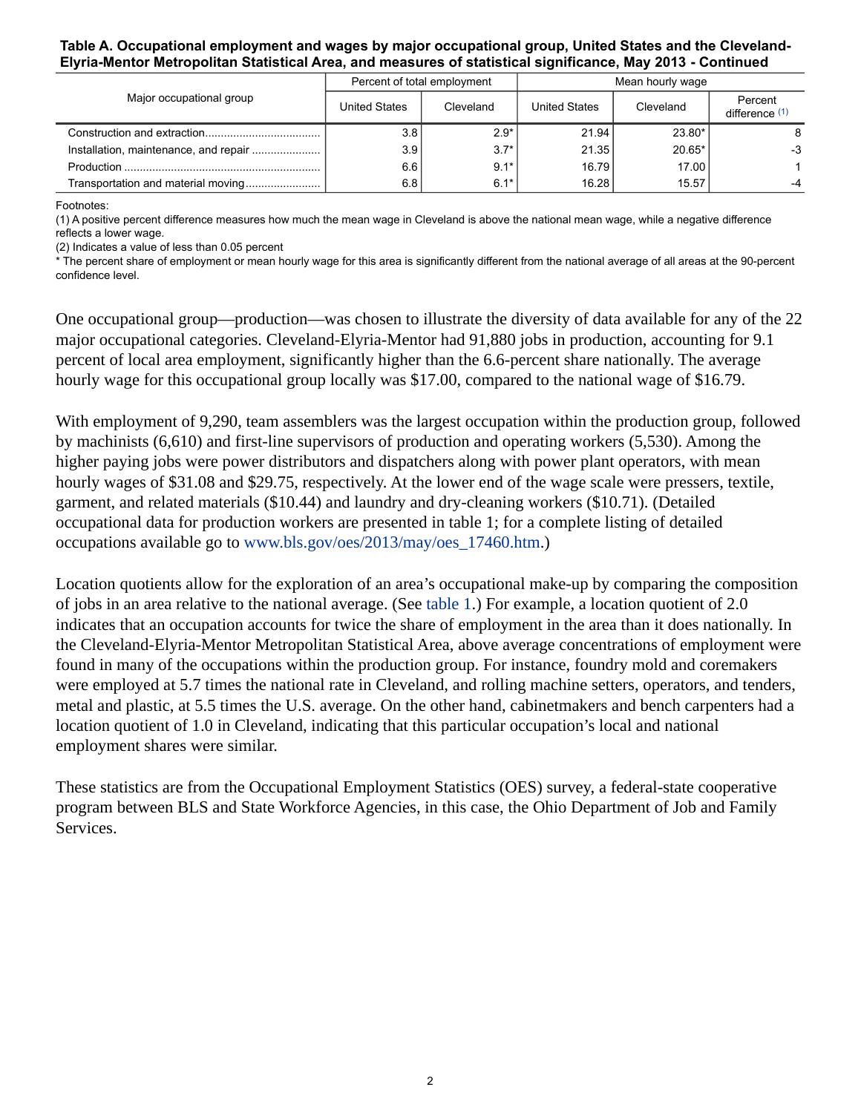### **Table A. Occupational employment and wages by major occupational group, United States and the Cleveland-Elyria-Mentor Metropolitan Statistical Area, and measures of statistical significance, May 2013 - Continued**

|                                         | Percent of total employment |           | Mean hourly wage |           |                           |
|-----------------------------------------|-----------------------------|-----------|------------------|-----------|---------------------------|
| Major occupational group                | United States               | Cleveland | United States    | Cleveland | Percent<br>difference (1) |
|                                         | 3.8                         | $2.9*$    | 21.94            | 23.80*    | 8                         |
| Installation, maintenance, and repair ! | 3.9                         | $3.7*$    | 21.35            | $20.65*$  | $-3$                      |
|                                         | 6.6                         | $9.1*$    | 16.79            | 17.00     |                           |
|                                         | 6.8                         | $6.1*$    | 16.28            | 15.57     |                           |

Footnotes:

<span id="page-1-0"></span>(1) A positive percent difference measures how much the mean wage in Cleveland is above the national mean wage, while a negative difference reflects a lower wage.

<span id="page-1-1"></span>(2) Indicates a value of less than 0.05 percent

\* The percent share of employment or mean hourly wage for this area is significantly different from the national average of all areas at the 90-percent confidence level.

One occupational group—production—was chosen to illustrate the diversity of data available for any of the 22 major occupational categories. Cleveland-Elyria-Mentor had 91,880 jobs in production, accounting for 9.1 percent of local area employment, significantly higher than the 6.6-percent share nationally. The average hourly wage for this occupational group locally was \$17.00, compared to the national wage of \$16.79.

With employment of 9,290, team assemblers was the largest occupation within the production group, followed by machinists (6,610) and first-line supervisors of production and operating workers (5,530). Among the higher paying jobs were power distributors and dispatchers along with power plant operators, with mean hourly wages of \$31.08 and \$29.75, respectively. At the lower end of the wage scale were pressers, textile, garment, and related materials (\$10.44) and laundry and dry-cleaning workers (\$10.71). (Detailed occupational data for production workers are presented in table 1; for a complete listing of detailed occupations available go to [www.bls.gov/oes/2013/may/oes\\_17460.htm](https://www.bls.gov/oes/2013/may/oes_17460.htm).)

Location quotients allow for the exploration of an area's occupational make-up by comparing the composition of jobs in an area relative to the national average. (See [table 1.](#page-4-0)) For example, a location quotient of 2.0 indicates that an occupation accounts for twice the share of employment in the area than it does nationally. In the Cleveland-Elyria-Mentor Metropolitan Statistical Area, above average concentrations of employment were found in many of the occupations within the production group. For instance, foundry mold and coremakers were employed at 5.7 times the national rate in Cleveland, and rolling machine setters, operators, and tenders, metal and plastic, at 5.5 times the U.S. average. On the other hand, cabinetmakers and bench carpenters had a location quotient of 1.0 in Cleveland, indicating that this particular occupation's local and national employment shares were similar.

These statistics are from the Occupational Employment Statistics (OES) survey, a federal-state cooperative program between BLS and State Workforce Agencies, in this case, the Ohio Department of Job and Family Services.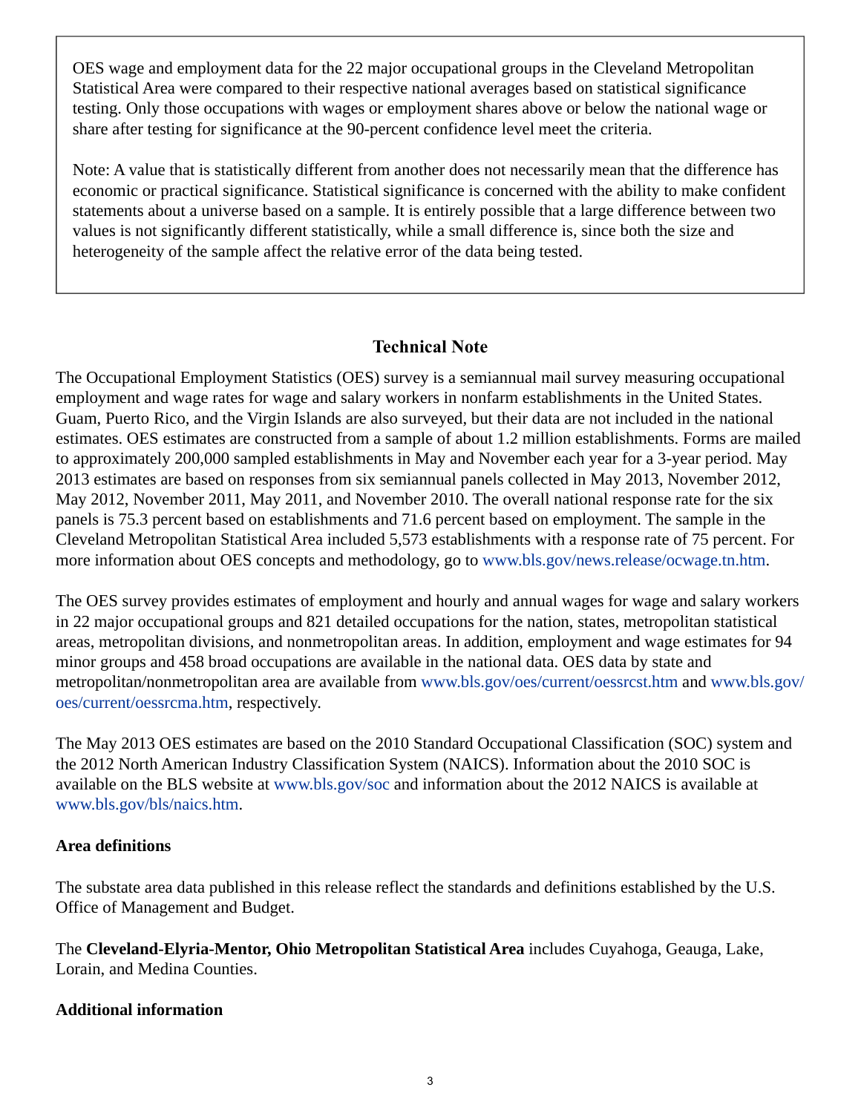OES wage and employment data for the 22 major occupational groups in the Cleveland Metropolitan Statistical Area were compared to their respective national averages based on statistical significance testing. Only those occupations with wages or employment shares above or below the national wage or share after testing for significance at the 90-percent confidence level meet the criteria.

Note: A value that is statistically different from another does not necessarily mean that the difference has economic or practical significance. Statistical significance is concerned with the ability to make confident statements about a universe based on a sample. It is entirely possible that a large difference between two values is not significantly different statistically, while a small difference is, since both the size and heterogeneity of the sample affect the relative error of the data being tested.

## **Technical Note**

The Occupational Employment Statistics (OES) survey is a semiannual mail survey measuring occupational employment and wage rates for wage and salary workers in nonfarm establishments in the United States. Guam, Puerto Rico, and the Virgin Islands are also surveyed, but their data are not included in the national estimates. OES estimates are constructed from a sample of about 1.2 million establishments. Forms are mailed to approximately 200,000 sampled establishments in May and November each year for a 3-year period. May 2013 estimates are based on responses from six semiannual panels collected in May 2013, November 2012, May 2012, November 2011, May 2011, and November 2010. The overall national response rate for the six panels is 75.3 percent based on establishments and 71.6 percent based on employment. The sample in the Cleveland Metropolitan Statistical Area included 5,573 establishments with a response rate of 75 percent. For more information about OES concepts and methodology, go to [www.bls.gov/news.release/ocwage.tn.htm.](https://www.bls.gov/news.release/ocwage.tn.htm)

The OES survey provides estimates of employment and hourly and annual wages for wage and salary workers in 22 major occupational groups and 821 detailed occupations for the nation, states, metropolitan statistical areas, metropolitan divisions, and nonmetropolitan areas. In addition, employment and wage estimates for 94 minor groups and 458 broad occupations are available in the national data. OES data by state and metropolitan/nonmetropolitan area are available from [www.bls.gov/oes/current/oessrcst.htm](https://www.bls.gov/oes/current/oessrcma.htm) and [www.bls.gov/](https://www.bls.gov/oes/current/oessrcma.htm) [oes/current/oessrcma.htm,](https://www.bls.gov/oes/current/oessrcma.htm) respectively.

The May 2013 OES estimates are based on the 2010 Standard Occupational Classification (SOC) system and the 2012 North American Industry Classification System (NAICS). Information about the 2010 SOC is available on the BLS website at [www.bls.gov/soc](https://www.bls.gov/soc) and information about the 2012 NAICS is available at [www.bls.gov/bls/naics.htm.](https://www.bls.gov/bls/naics.htm)

## **Area definitions**

The substate area data published in this release reflect the standards and definitions established by the U.S. Office of Management and Budget.

The **Cleveland-Elyria-Mentor, Ohio Metropolitan Statistical Area** includes Cuyahoga, Geauga, Lake, Lorain, and Medina Counties.

## **Additional information**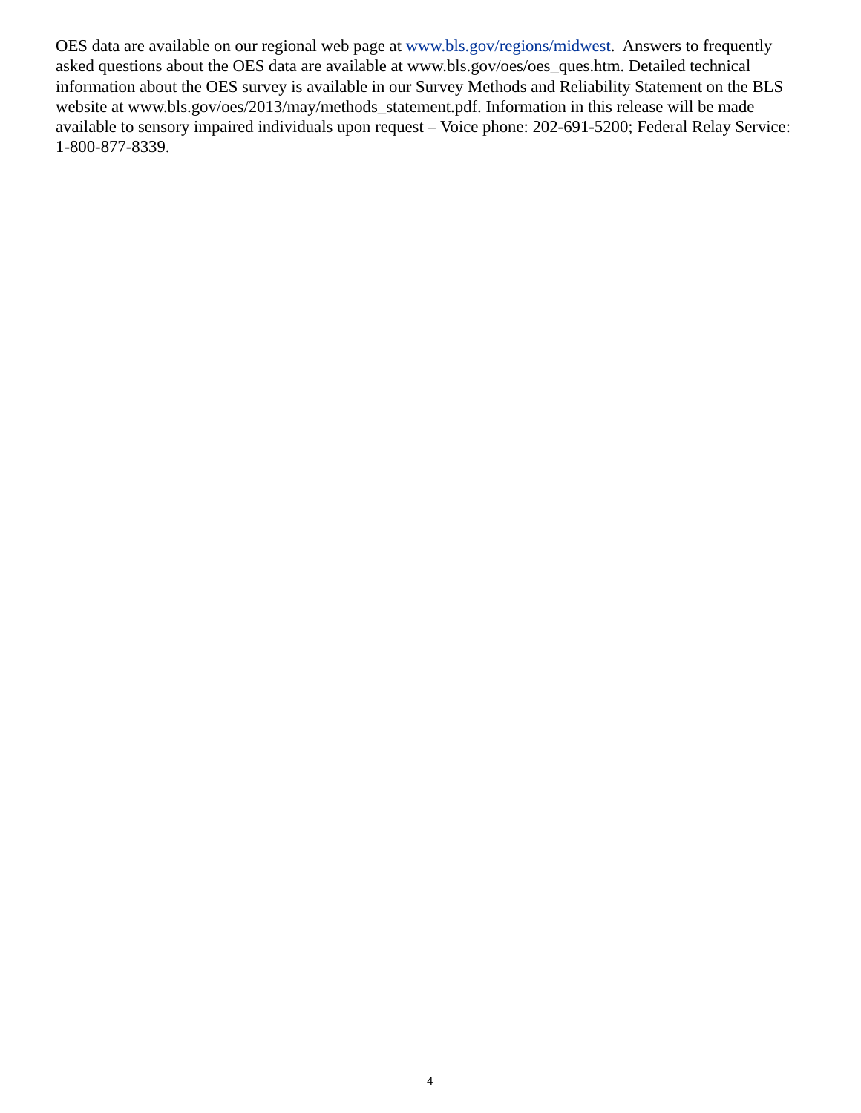OES data are available on our regional web page at [www.bls.gov/regions/midwest](http://www.bls.gov/regions/midwest/home.htm). Answers to frequently asked questions about the OES data are available at www.bls.gov/oes/oes\_ques.htm. Detailed technical information about the OES survey is available in our Survey Methods and Reliability Statement on the BLS website at www.bls.gov/oes/2013/may/methods\_statement.pdf. Information in this release will be made available to sensory impaired individuals upon request – Voice phone: 202-691-5200; Federal Relay Service: 1-800-877-8339.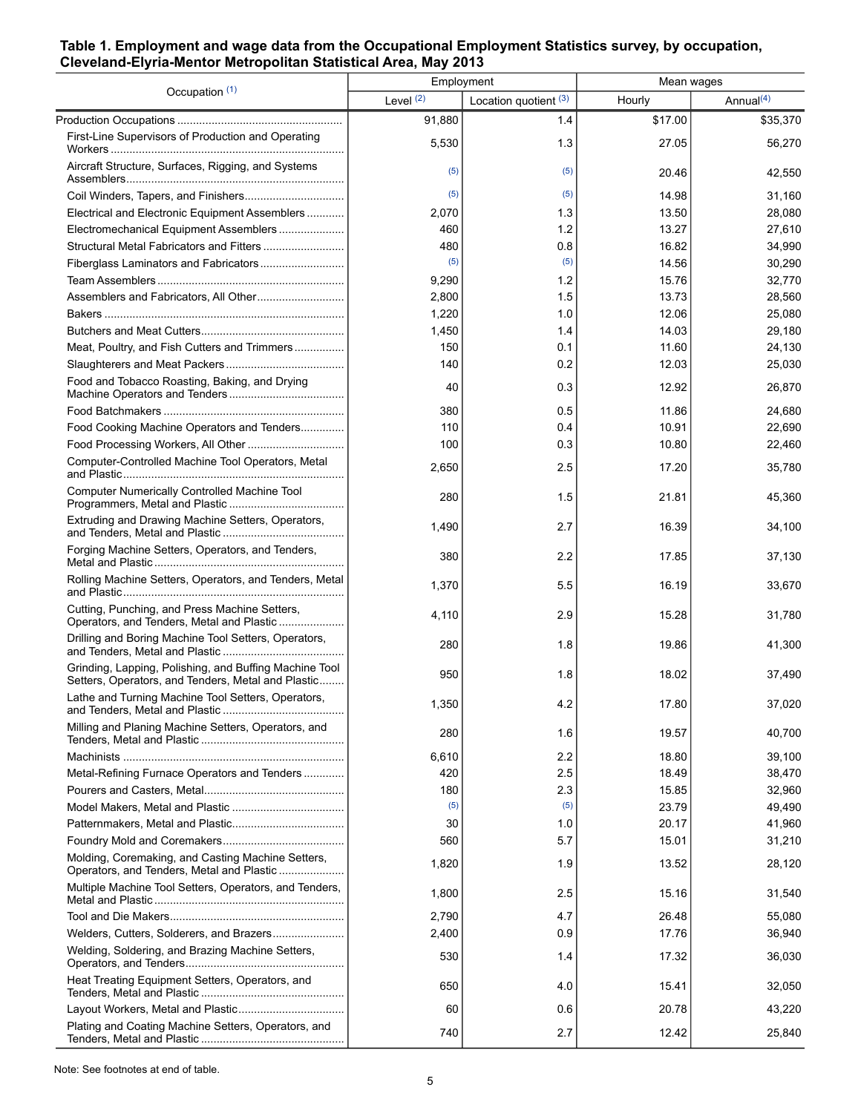## <span id="page-4-0"></span>**Table 1. Employment and wage data from the Occupational Employment Statistics survey, by occupation, Cleveland-Elyria-Mentor Metropolitan Statistical Area, May 2013**

| Occupation (1)                                                                                               | Employment  |                         | Mean wages |              |
|--------------------------------------------------------------------------------------------------------------|-------------|-------------------------|------------|--------------|
|                                                                                                              | Level $(2)$ | Location quotient $(3)$ | Hourly     | Annual $(4)$ |
|                                                                                                              | 91,880      | 1.4                     | \$17.00    | \$35,370     |
| First-Line Supervisors of Production and Operating                                                           | 5,530       | 1.3                     | 27.05      | 56,270       |
| Aircraft Structure, Surfaces, Rigging, and Systems                                                           | (5)         | (5)                     | 20.46      | 42,550       |
|                                                                                                              | (5)         | (5)                     | 14.98      | 31,160       |
| Electrical and Electronic Equipment Assemblers                                                               | 2,070       | 1.3                     | 13.50      | 28,080       |
| Electromechanical Equipment Assemblers                                                                       | 460         | 1.2                     | 13.27      | 27,610       |
|                                                                                                              | 480         | 0.8                     | 16.82      | 34,990       |
|                                                                                                              | (5)         | (5)                     | 14.56      | 30,290       |
|                                                                                                              | 9,290       | 1.2                     | 15.76      | 32,770       |
| Assemblers and Fabricators, All Other                                                                        | 2,800       | 1.5                     | 13.73      | 28,560       |
|                                                                                                              | 1,220       | 1.0                     | 12.06      | 25,080       |
|                                                                                                              | 1,450       | 1.4                     | 14.03      | 29,180       |
| Meat, Poultry, and Fish Cutters and Trimmers                                                                 | 150         | 0.1                     | 11.60      | 24,130       |
|                                                                                                              | 140         | 0.2                     | 12.03      | 25,030       |
| Food and Tobacco Roasting, Baking, and Drying                                                                | 40          | 0.3                     | 12.92      | 26,870       |
|                                                                                                              | 380         | 0.5                     | 11.86      | 24,680       |
| Food Cooking Machine Operators and Tenders                                                                   | 110         | 0.4                     | 10.91      | 22,690       |
|                                                                                                              | 100         | 0.3                     | 10.80      | 22,460       |
| Computer-Controlled Machine Tool Operators, Metal                                                            | 2,650       | 25                      | 17.20      | 35,780       |
| <b>Computer Numerically Controlled Machine Tool</b>                                                          | 280         | 1.5                     | 21.81      | 45,360       |
| Extruding and Drawing Machine Setters, Operators,                                                            | 1,490       | 2.7                     | 16.39      | 34,100       |
| Forging Machine Setters, Operators, and Tenders,                                                             | 380         | 2.2                     | 17.85      | 37,130       |
| Rolling Machine Setters, Operators, and Tenders, Metal                                                       | 1,370       | 55                      | 16.19      | 33,670       |
| Cutting, Punching, and Press Machine Setters,<br>Operators, and Tenders, Metal and Plastic                   | 4,110       | 2.9                     | 15.28      | 31,780       |
| Drilling and Boring Machine Tool Setters, Operators,                                                         | 280         | 1.8                     | 19.86      | 41,300       |
| Grinding, Lapping, Polishing, and Buffing Machine Tool<br>Setters, Operators, and Tenders, Metal and Plastic | 950         | 1.8                     | 18.02      | 37,490       |
| Lathe and Turning Machine Tool Setters, Operators,                                                           | 1,350       | 4.2                     | 17.80      | 37,020       |
| Milling and Planing Machine Setters, Operators, and                                                          | 280         | 1.6                     | 19.57      | 40,700       |
|                                                                                                              | 6,610       | 2.2                     | 18.80      | 39,100       |
| Metal-Refining Furnace Operators and Tenders                                                                 | 420         | 2.5                     | 18.49      | 38,470       |
|                                                                                                              | 180         | 2.3                     | 15.85      | 32,960       |
|                                                                                                              | (5)         | (5)                     | 23.79      | 49,490       |
|                                                                                                              | 30          | 1.0                     | 20.17      | 41,960       |
|                                                                                                              | 560         | 5.7                     | 15.01      | 31,210       |
| Molding, Coremaking, and Casting Machine Setters,<br>Operators, and Tenders, Metal and Plastic               | 1,820       | 1.9                     | 13.52      | 28,120       |
| Multiple Machine Tool Setters, Operators, and Tenders,                                                       | 1,800       | 25                      | 15.16      | 31,540       |
|                                                                                                              | 2,790       | 4.7                     | 26.48      | 55,080       |
| Welders, Cutters, Solderers, and Brazers                                                                     | 2,400       | 0.9                     | 17.76      | 36,940       |
| Welding, Soldering, and Brazing Machine Setters,                                                             | 530         | 1.4                     | 17.32      | 36,030       |
| Heat Treating Equipment Setters, Operators, and                                                              | 650         | 4.0                     | 15.41      | 32,050       |
|                                                                                                              | 60          | 0.6                     | 20.78      | 43,220       |
| Plating and Coating Machine Setters, Operators, and                                                          | 740         | 2.7                     | 12.42      | 25,840       |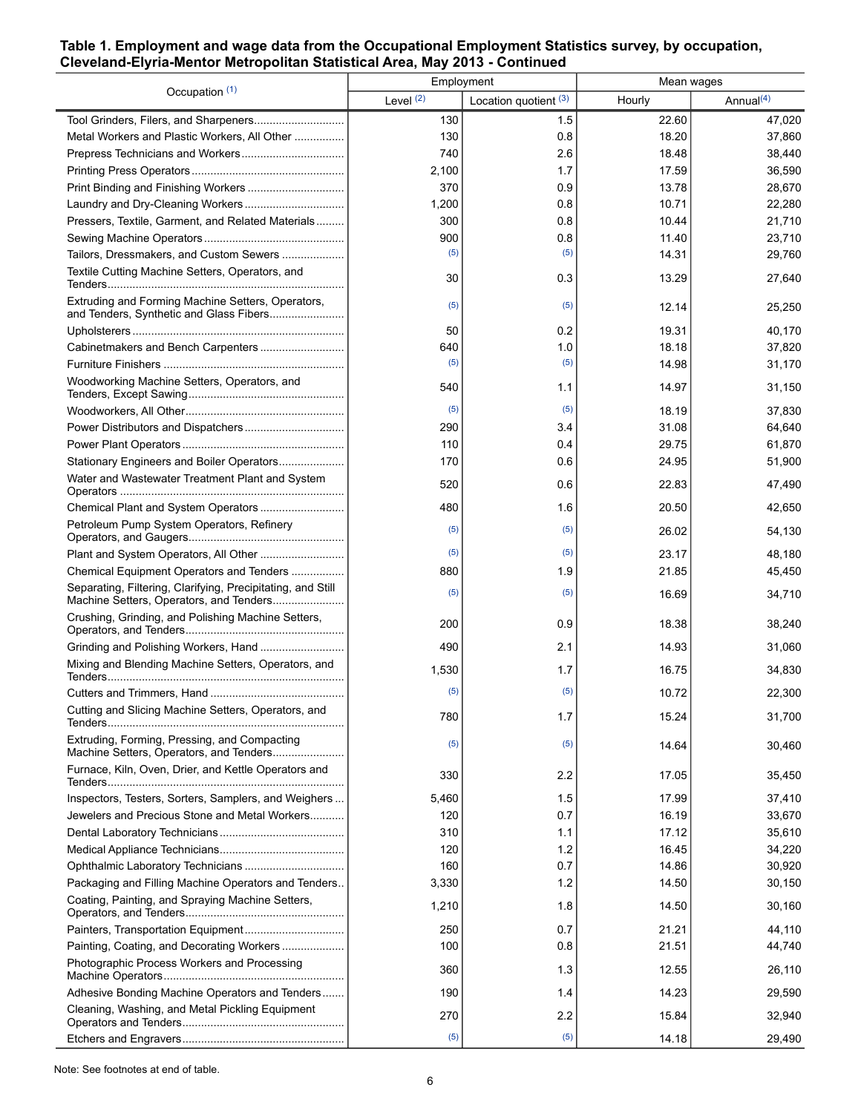## **Table 1. Employment and wage data from the Occupational Employment Statistics survey, by occupation, Cleveland-Elyria-Mentor Metropolitan Statistical Area, May 2013 - Continued**

| Occupation (1)                                                                                         | Employment  |                       | Mean wages |                       |
|--------------------------------------------------------------------------------------------------------|-------------|-----------------------|------------|-----------------------|
|                                                                                                        | Level $(2)$ | Location quotient (3) | Hourly     | Annual <sup>(4)</sup> |
|                                                                                                        | 130         | 1.5                   | 22.60      | 47,020                |
| Metal Workers and Plastic Workers, All Other                                                           | 130         | 0.8                   | 18.20      | 37,860                |
|                                                                                                        | 740         | 2.6                   | 18.48      | 38,440                |
|                                                                                                        | 2,100       | 1.7                   | 17.59      | 36,590                |
|                                                                                                        | 370         | 0.9                   | 13.78      | 28,670                |
|                                                                                                        | 1,200       | 0.8                   | 10.71      | 22,280                |
| Pressers, Textile, Garment, and Related Materials                                                      | 300         | 0.8                   | 10.44      | 21,710                |
|                                                                                                        | 900         | 0.8                   | 11.40      | 23,710                |
| Tailors, Dressmakers, and Custom Sewers                                                                | (5)         | (5)                   | 14.31      | 29,760                |
| Textile Cutting Machine Setters, Operators, and                                                        | 30          | 0.3                   | 13.29      | 27,640                |
| Extruding and Forming Machine Setters, Operators,<br>and Tenders, Synthetic and Glass Fibers           | (5)         | (5)                   | 12.14      | 25,250                |
|                                                                                                        | 50          | 0.2                   | 19.31      | 40,170                |
|                                                                                                        | 640         | 1.0                   | 18.18      | 37,820                |
|                                                                                                        | (5)         | (5)                   | 14.98      | 31,170                |
| Woodworking Machine Setters, Operators, and                                                            | 540         | 1.1                   | 14.97      | 31,150                |
|                                                                                                        | (5)         | (5)                   | 18.19      | 37,830                |
|                                                                                                        | 290         | 3.4                   | 31.08      | 64,640                |
|                                                                                                        | 110         | 0.4                   | 29.75      | 61,870                |
| Stationary Engineers and Boiler Operators                                                              | 170         | 0.6                   | 24.95      | 51,900                |
| Water and Wastewater Treatment Plant and System                                                        | 520         | 0.6                   | 22.83      | 47,490                |
|                                                                                                        | 480         | 1.6                   | 20.50      | 42,650                |
| Petroleum Pump System Operators, Refinery                                                              | (5)         | (5)                   | 26.02      | 54,130                |
| Plant and System Operators, All Other                                                                  | (5)         | (5)                   | 23.17      | 48,180                |
| Chemical Equipment Operators and Tenders                                                               | 880         | 1.9                   | 21.85      | 45,450                |
| Separating, Filtering, Clarifying, Precipitating, and Still<br>Machine Setters, Operators, and Tenders | (5)         | (5)                   | 16.69      | 34,710                |
| Crushing, Grinding, and Polishing Machine Setters,                                                     | 200         | 0.9                   | 18.38      | 38,240                |
|                                                                                                        | 490         | 2.1                   | 14.93      | 31,060                |
| Mixing and Blending Machine Setters, Operators, and                                                    | 1,530       | 1.7                   | 16.75      | 34,830                |
|                                                                                                        | (5)         | (5)                   | 10.72      | 22,300                |
| Cutting and Slicing Machine Setters, Operators, and                                                    | 780         | 1.7                   | 15.24      | 31,700                |
| Extruding, Forming, Pressing, and Compacting                                                           | (5)         | (5)                   | 14.64      | 30,460                |
| Furnace, Kiln, Oven, Drier, and Kettle Operators and                                                   | 330         | 2.2                   | 17.05      | 35,450                |
| Inspectors, Testers, Sorters, Samplers, and Weighers                                                   | 5,460       | 1.5                   | 17.99      | 37,410                |
| Jewelers and Precious Stone and Metal Workers                                                          | 120         | 0.7                   | 16.19      | 33,670                |
|                                                                                                        | 310         | 1.1                   | 17.12      | 35,610                |
|                                                                                                        | 120         | 1.2                   | 16.45      | 34,220                |
|                                                                                                        | 160         | 0.7                   | 14.86      | 30,920                |
| Packaging and Filling Machine Operators and Tenders                                                    | 3,330       | 1.2                   | 14.50      | 30,150                |
| Coating, Painting, and Spraying Machine Setters,                                                       | 1,210       | 1.8                   | 14.50      | 30,160                |
|                                                                                                        | 250         | 0.7                   | 21.21      | 44,110                |
|                                                                                                        | 100         | 0.8                   | 21.51      | 44,740                |
| Photographic Process Workers and Processing                                                            | 360         | 1.3                   | 12.55      | 26,110                |
| Adhesive Bonding Machine Operators and Tenders                                                         | 190         | 1.4                   | 14.23      | 29,590                |
| Cleaning, Washing, and Metal Pickling Equipment                                                        | 270         | 2.2                   | 15.84      | 32,940                |
|                                                                                                        | (5)         | (5)                   | 14.18      | 29,490                |

Note: See footnotes at end of table.